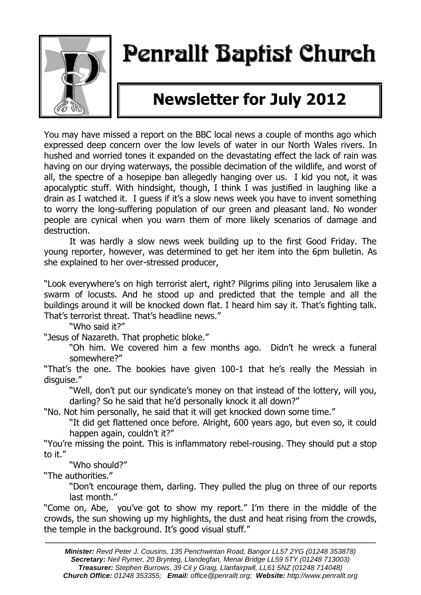

## Penrallt Baptist Church

## **Newsletter for July 2012**

You may have missed a report on the BBC local news a couple of months ago which expressed deep concern over the low levels of water in our North Wales rivers. In hushed and worried tones it expanded on the devastating effect the lack of rain was having on our drying waterways, the possible decimation of the wildlife, and worst of all, the spectre of a hosepipe ban allegedly hanging over us. I kid you not, it was apocalyptic stuff. With hindsight, though, I think I was justified in laughing like a drain as I watched it. I guess if it's a slow news week you have to invent something to worry the long-suffering population of our green and pleasant land. No wonder people are cynical when you warn them of more likely scenarios of damage and destruction.

It was hardly a slow news week building up to the first Good Friday. The young reporter, however, was determined to get her item into the 6pm bulletin. As she explained to her over-stressed producer,

"Look everywhere's on high terrorist alert, right? Pilgrims piling into Jerusalem like a swarm of locusts. And he stood up and predicted that the temple and all the buildings around it will be knocked down flat. I heard him say it. That's fighting talk. That's terrorist threat. That's headline news."

"Who said it?"

"Jesus of Nazareth. That prophetic bloke."

"Oh him. We covered him a few months ago. Didn't he wreck a funeral somewhere?"

"That's the one. The bookies have given 100-1 that he's really the Messiah in disguise."

"Well, don't put our syndicate's money on that instead of the lottery, will you, darling? So he said that he'd personally knock it all down?"

"No. Not him personally, he said that it will get knocked down some time."

"It did get flattened once before. Alright, 600 years ago, but even so, it could happen again, couldn't it?"

"You're missing the point. This is inflammatory rebel-rousing. They should put a stop to it."

"Who should?"

"The authorities."

"Don't encourage them, darling. They pulled the plug on three of our reports last month."

"Come on, Abe, you've got to show my report." I'm there in the middle of the crowds, the sun showing up my highlights, the dust and heat rising from the crowds, the temple in the background. It's good visual stuff."

———————————————————————————————————————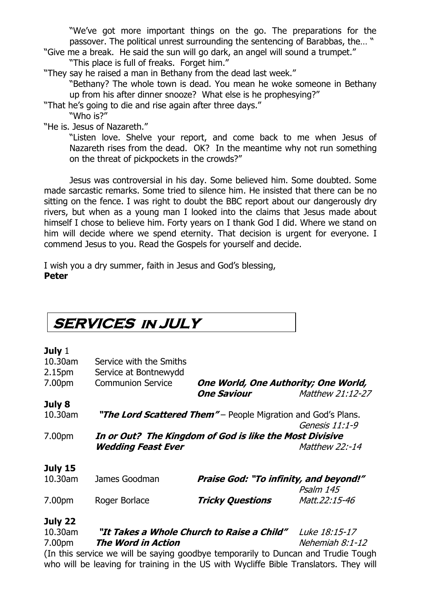"We've got more important things on the go. The preparations for the passover. The political unrest surrounding the sentencing of Barabbas, the… "

"Give me a break. He said the sun will go dark, an angel will sound a trumpet." "This place is full of freaks. Forget him."

"They say he raised a man in Bethany from the dead last week."

"Bethany? The whole town is dead. You mean he woke someone in Bethany up from his after dinner snooze? What else is he prophesying?"

"That he's going to die and rise again after three days."

"Who is?"

"He is. Jesus of Nazareth."

"Listen love. Shelve your report, and come back to me when Jesus of Nazareth rises from the dead. OK? In the meantime why not run something on the threat of pickpockets in the crowds?"

Jesus was controversial in his day. Some believed him. Some doubted. Some made sarcastic remarks. Some tried to silence him. He insisted that there can be no sitting on the fence. I was right to doubt the BBC report about our dangerously dry rivers, but when as a young man I looked into the claims that Jesus made about himself I chose to believe him. Forty years on I thank God I did. Where we stand on him will decide where we spend eternity. That decision is urgent for everyone. I commend Jesus to you. Read the Gospels for yourself and decide.

I wish you a dry summer, faith in Jesus and God's blessing, **Peter**

| <b>SERVICES IN JULY</b> |                                                               |                                      |                  |  |  |
|-------------------------|---------------------------------------------------------------|--------------------------------------|------------------|--|--|
| July $1$                |                                                               |                                      |                  |  |  |
| 10.30am                 | Service with the Smiths                                       |                                      |                  |  |  |
| 2.15 <sub>pm</sub>      | Service at Bontnewydd                                         |                                      |                  |  |  |
| 7.00pm                  | <b>Communion Service</b>                                      | One World, One Authority; One World, |                  |  |  |
|                         |                                                               | <b>One Saviour</b>                   | Matthew 21:12-27 |  |  |
| July 8                  |                                                               |                                      |                  |  |  |
| 10.30am                 | "The Lord Scattered Them" – People Migration and God's Plans. |                                      |                  |  |  |
|                         |                                                               |                                      | Genesis 11:1-9   |  |  |
| 7.00pm                  | In or Out? The Kingdom of God is like the Most Divisive       |                                      |                  |  |  |
|                         | <b>Wedding Feast Ever</b>                                     |                                      | Matthew 22:-14   |  |  |
|                         |                                                               |                                      |                  |  |  |

#### **July 15**

| $10.30$ am | James Goodman | <b>Praise God: "To infinity, and beyond!"</b> |               |  |
|------------|---------------|-----------------------------------------------|---------------|--|
|            |               |                                               | Psalm 145     |  |
| 7.00pm     | Roger Borlace | <b>Tricky Questions</b>                       | Matt.22:15-46 |  |

#### **July 22**

10.30am **"It Takes a Whole Church to Raise a Child"** Luke 18:15-17 7.00pm **The Word in Action** Nehemiah 8:1-12 (In this service we will be saying goodbye temporarily to Duncan and Trudie Tough who will be leaving for training in the US with Wycliffe Bible Translators. They will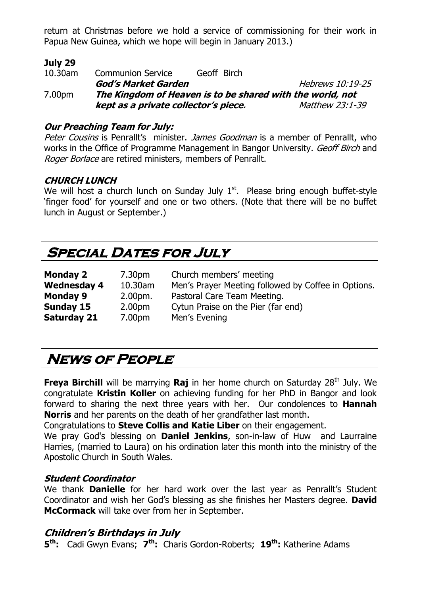return at Christmas before we hold a service of commissioning for their work in Papua New Guinea, which we hope will begin in January 2013.)

#### **July 29**

10.30am Communion Service Geoff Birch **God's Market Garden Hebrews 10:19-25** 7.00pm **The Kingdom of Heaven is to be shared with the world, not kept as a private collector's piece.** Matthew 23:1-39

#### **Our Preaching Team for July:**

Peter Cousins is Penrallt's minister. James Goodman is a member of Penrallt, who works in the Office of Programme Management in Bangor University. Geoff Birch and Roger Borlace are retired ministers, members of Penrallt.

#### **CHURCH LUNCH**

We will host a church lunch on Sunday July  $1<sup>st</sup>$ . Please bring enough buffet-style 'finger food' for yourself and one or two others. (Note that there will be no buffet lunch in August or September.)

## **Special Dates for July**

| <b>Monday 2</b>    | 7.30pm             | Church members' meeting                             |
|--------------------|--------------------|-----------------------------------------------------|
| <b>Wednesday 4</b> | 10.30am            | Men's Prayer Meeting followed by Coffee in Options. |
| <b>Monday 9</b>    | $2.00pm$ .         | Pastoral Care Team Meeting.                         |
| Sunday 15          | 2.00 <sub>pm</sub> | Cytun Praise on the Pier (far end)                  |
| <b>Saturday 21</b> | 7.00pm             | Men's Evening                                       |

## **News of People**

**Freya Birchill** will be marrying **Raj** in her home church on Saturday 28<sup>th</sup> July. We congratulate **Kristin Koller** on achieving funding for her PhD in Bangor and look forward to sharing the next three years with her. Our condolences to **Hannah Norris** and her parents on the death of her grandfather last month.

Congratulations to **Steve Collis and Katie Liber** on their engagement.

We pray God's blessing on **Daniel Jenkins**, son-in-law of Huw and Laurraine Harries, (married to Laura) on his ordination later this month into the ministry of the Apostolic Church in South Wales.

#### **Student Coordinator**

We thank **Danielle** for her hard work over the last year as Penrallt's Student Coordinator and wish her God's blessing as she finishes her Masters degree. **David McCormack** will take over from her in September.

#### **Children's Birthdays in July**

**5 th:** Cadi Gwyn Evans; **7 th:** Charis Gordon-Roberts; **19th:** Katherine Adams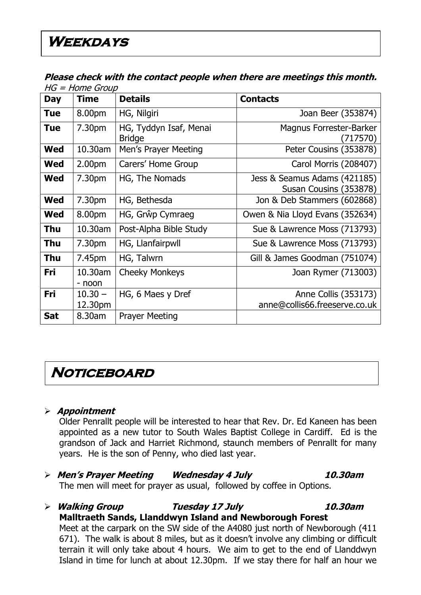#### **Please check with the contact people when there are meetings this month.**   $HG - H$ ome Group

|            | שטיוט – ווטוויר – טו ו |                                         |                                                        |
|------------|------------------------|-----------------------------------------|--------------------------------------------------------|
| Day        | <b>Time</b>            | <b>Details</b>                          | <b>Contacts</b>                                        |
| <b>Tue</b> | 8.00pm                 | HG, Nilgiri                             | Joan Beer (353874)                                     |
| <b>Tue</b> | 7.30pm                 | HG, Tyddyn Isaf, Menai<br><b>Bridge</b> | Magnus Forrester-Barker<br>(717570)                    |
| <b>Wed</b> | 10.30am                | Men's Prayer Meeting                    | Peter Cousins (353878)                                 |
| <b>Wed</b> | 2.00 <sub>pm</sub>     | Carers' Home Group                      | Carol Morris (208407)                                  |
| <b>Wed</b> | 7.30pm                 | HG, The Nomads                          | Jess & Seamus Adams (421185)<br>Susan Cousins (353878) |
| <b>Wed</b> | 7.30pm                 | HG, Bethesda                            | Jon & Deb Stammers (602868)                            |
| <b>Wed</b> | 8.00pm                 | HG, Grŵp Cymraeg                        | Owen & Nia Lloyd Evans (352634)                        |
| <b>Thu</b> | 10.30am                | Post-Alpha Bible Study                  | Sue & Lawrence Moss (713793)                           |
| Thu        | 7.30pm                 | HG, Llanfairpwll                        | Sue & Lawrence Moss (713793)                           |
| Thu        | 7.45pm                 | HG, Talwrn                              | Gill & James Goodman (751074)                          |
| Fri        | 10.30am<br>- noon      | <b>Cheeky Monkeys</b>                   | Joan Rymer (713003)                                    |
| Fri        | $10.30 -$<br>12.30pm   | HG, 6 Maes y Dref                       | Anne Collis (353173)<br>anne@collis66.freeserve.co.uk  |
| <b>Sat</b> | 8.30am                 | <b>Prayer Meeting</b>                   |                                                        |

### **Noticeboard**

#### **Appointment**

Older Penrallt people will be interested to hear that Rev. Dr. Ed Kaneen has been appointed as a new tutor to South Wales Baptist College in Cardiff. Ed is the grandson of Jack and Harriet Richmond, staunch members of Penrallt for many years. He is the son of Penny, who died last year.

#### **Men's Prayer Meeting Wednesday 4 July 10.30am** The men will meet for prayer as usual, followed by coffee in Options.

**Walking Group Tuesday 17 July 10.30am**

**Malltraeth Sands, Llanddwyn Island and Newborough Forest**  Meet at the carpark on the SW side of the A4080 just north of Newborough (411 671). The walk is about 8 miles, but as it doesn't involve any climbing or difficult terrain it will only take about 4 hours. We aim to get to the end of Llanddwyn Island in time for lunch at about 12.30pm. If we stay there for half an hour we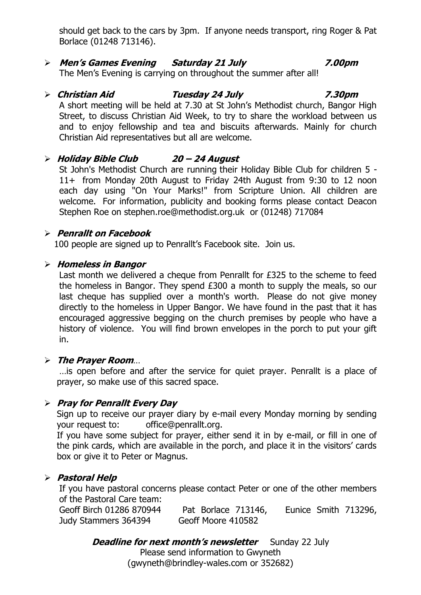should get back to the cars by 3pm. If anyone needs transport, ring Roger & Pat Borlace (01248 713146).

#### **Men's Games Evening Saturday 21 July 7.00pm**

The Men's Evening is carrying on throughout the summer after all!

### **Christian Aid Tuesday 24 July 7.30pm**

A short meeting will be held at 7.30 at St John's Methodist church, Bangor High Street, to discuss Christian Aid Week, to try to share the workload between us and to enjoy fellowship and tea and biscuits afterwards. Mainly for church Christian Aid representatives but all are welcome.

#### **Holiday Bible Club 20 – 24 August**

St John's Methodist Church are running their Holiday Bible Club for children 5 - 11+ from Monday 20th August to Friday 24th August from 9:30 to 12 noon each day using "On Your Marks!" from Scripture Union. All children are welcome. For information, publicity and booking forms please contact Deacon Stephen Roe on [stephen.roe@methodist.org.uk](mailto:stephen.roe@methodist.org.uk) or (01248) 717084

#### **Penrallt on Facebook**

100 people are signed up to Penrallt's Facebook site. Join us.

#### **Homeless in Bangor**

Last month we delivered a cheque from Penrallt for £325 to the scheme to feed the homeless in Bangor. They spend £300 a month to supply the meals, so our last cheque has supplied over a month's worth. Please do not give money directly to the homeless in Upper Bangor. We have found in the past that it has encouraged aggressive begging on the church premises by people who have a history of violence. You will find brown envelopes in the porch to put your gift in.

#### **The Prayer Room**…

…is open before and after the service for quiet prayer. Penrallt is a place of prayer, so make use of this sacred space.

#### **Pray for Penrallt Every Day**

Sign up to receive our prayer diary by e-mail every Monday morning by sending your request to: [office@penrallt.org.](mailto:office@penrallt.org)

If you have some subject for prayer, either send it in by e-mail, or fill in one of the pink cards, which are available in the porch, and place it in the visitors' cards box or give it to Peter or Magnus.

#### **Pastoral Help**

If you have pastoral concerns please contact Peter or one of the other members of the Pastoral Care team:

Geoff Birch 01286 870944 Pat Borlace 713146, Eunice Smith 713296, Judy Stammers 364394 Geoff Moore 410582

#### **Deadline for next month's newsletter** Sunday 22 July

Please send information to Gwyneth [\(gwyneth@brindley-wales.com](mailto:gwyneth@brindley-wales.com) or 352682)